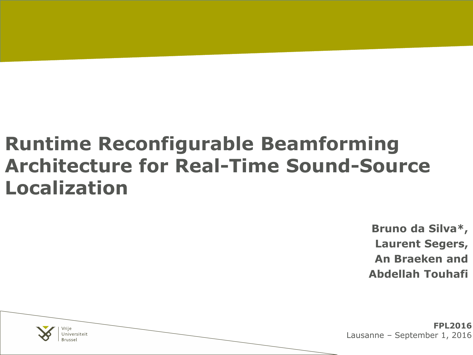#### **Runtime Reconfigurable Beamforming Architecture for Real-Time Sound-Source Localization**

**Bruno da Silva\*, Laurent Segers, An Braeken and Abdellah Touhafi**

**FPL2016** Lausanne – September 1, 2016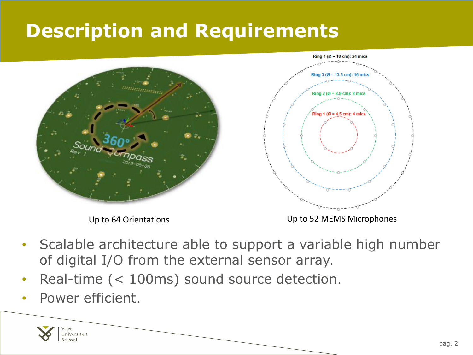#### **Description and Requirements**





Up to 64 Orientations **UP to 52 MEMS** Microphones

- Scalable architecture able to support a variable high number of digital I/O from the external sensor array.
- Real-time (< 100ms) sound source detection.
- Power efficient.

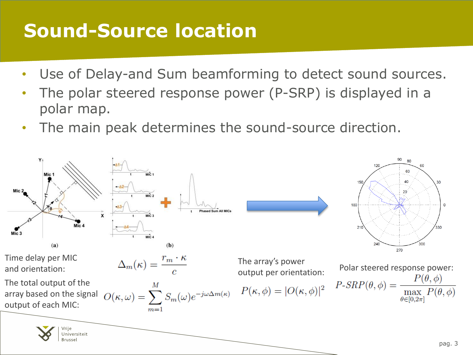#### **Sound-Source location**

- Use of Delay-and Sum beamforming to detect sound sources.
- The polar steered response power (P-SRP) is displayed in a polar map.
- The main peak determines the sound-source direction.

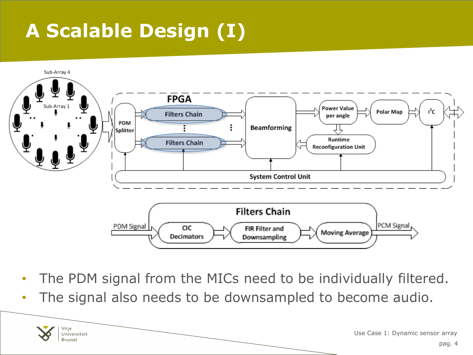# **A Scalable Design (I)**

Vrije Universiteit **Brussel** 



- The PDM signal from the MICs need to be individually filtered.
- The signal also needs to be downsampled to become audio.

Use Case 1: Dynamic sensor array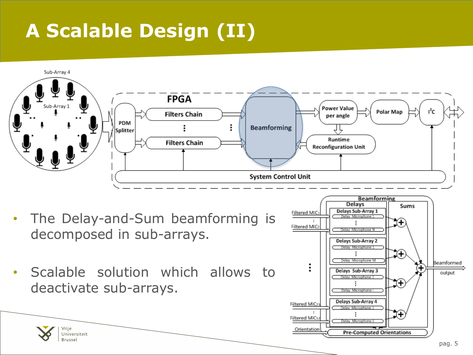## **A Scalable Design (II)**

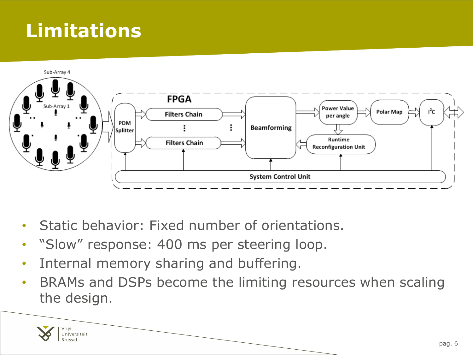### **Limitations**



- Static behavior: Fixed number of orientations.
- "Slow" response: 400 ms per steering loop.
- Internal memory sharing and buffering.
- BRAMs and DSPs become the limiting resources when scaling the design.

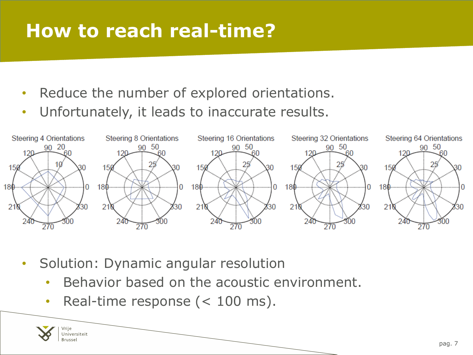#### **How to reach real-time?**

- Reduce the number of explored orientations.
- Unfortunately, it leads to inaccurate results.



- Solution: Dynamic angular resolution
	- Behavior based on the acoustic environment.
	- Real-time response (< 100 ms).

Jniversiteit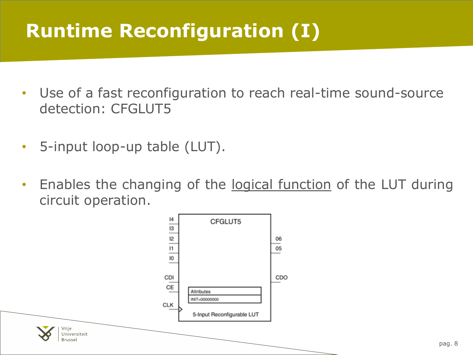### **Runtime Reconfiguration (I)**

- Use of a fast reconfiguration to reach real-time sound-source detection: CFGLUT5
- 5-input loop-up table (LUT).
- Enables the changing of the logical function of the LUT during circuit operation.

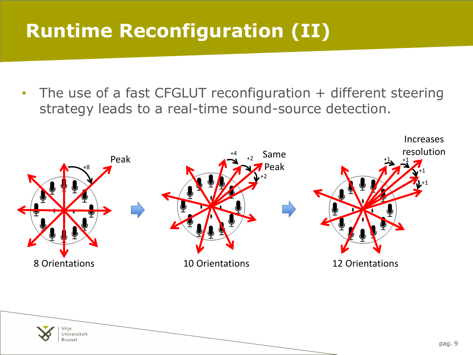### **Runtime Reconfiguration (II)**

• The use of a fast CFGLUT reconfiguration + different steering strategy leads to a real-time sound-source detection.